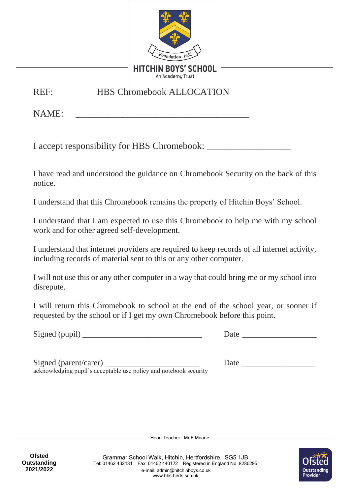

## **HITCHIN BOYS' SCHOOL** An Academu Trust

REF: **HBS Chromebook ALLOCATION** 

NAME: \_\_\_\_\_\_\_\_\_\_\_\_\_\_\_\_\_\_\_\_\_\_\_\_\_\_\_\_\_\_\_\_\_\_\_\_\_

I accept responsibility for HBS Chromebook:

I have read and understood the guidance on Chromebook Security on the back of this notice.

I understand that this Chromebook remains the property of Hitchin Boys' School.

I understand that I am expected to use this Chromebook to help me with my school work and for other agreed self-development.

I understand that internet providers are required to keep records of all internet activity, including records of material sent to this or any other computer.

I will not use this or any other computer in a way that could bring me or my school into disrepute.

I will return this Chromebook to school at the end of the school year, or sooner if requested by the school or if I get my own Chromebook before this point.

 $Signal (pupil)$ 

| Date |  |
|------|--|
|      |  |

Signed (parent/carer) and Date and Date and Date and Date and Date and Date and Date and Date and Date and Date acknowledging pupil's acceptable use policy and notebook security

Head Teacher: Mr F Moane

**Ofsted Outstanding 2021/2022**

Grammar School Walk, Hitchin, Hertfordshire. SG5 1JB Tel: 01462 432181 Fax: 01462 440172 Registered in England No. 8286295 e-mail: admin@hitchinboys.co.uk www.hbs.herts.sch.uk